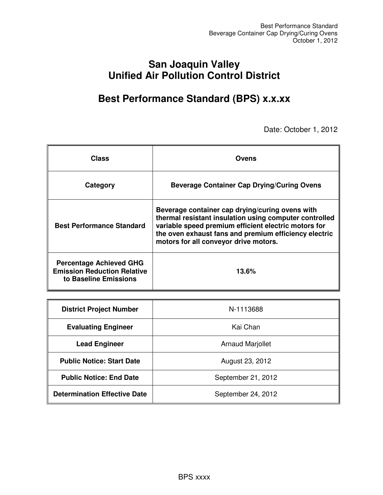## **San Joaquin Valley Unified Air Pollution Control District**

## **Best Performance Standard (BPS) x.x.xx**

Date: October 1, 2012

| <b>Class</b>                                                                                  | <b>Ovens</b>                                                                                                                                                                                                                                                        |
|-----------------------------------------------------------------------------------------------|---------------------------------------------------------------------------------------------------------------------------------------------------------------------------------------------------------------------------------------------------------------------|
| Category                                                                                      | <b>Beverage Container Cap Drying/Curing Ovens</b>                                                                                                                                                                                                                   |
| <b>Best Performance Standard</b>                                                              | Beverage container cap drying/curing ovens with<br>thermal resistant insulation using computer controlled<br>variable speed premium efficient electric motors for<br>the oven exhaust fans and premium efficiency electric<br>motors for all conveyor drive motors. |
| <b>Percentage Achieved GHG</b><br><b>Emission Reduction Relative</b><br>to Baseline Emissions | 13.6%                                                                                                                                                                                                                                                               |

| <b>District Project Number</b>      | N-1113688               |
|-------------------------------------|-------------------------|
| <b>Evaluating Engineer</b>          | Kai Chan                |
| <b>Lead Engineer</b>                | <b>Arnaud Marjollet</b> |
| <b>Public Notice: Start Date</b>    | August 23, 2012         |
| <b>Public Notice: End Date</b>      | September 21, 2012      |
| <b>Determination Effective Date</b> | September 24, 2012      |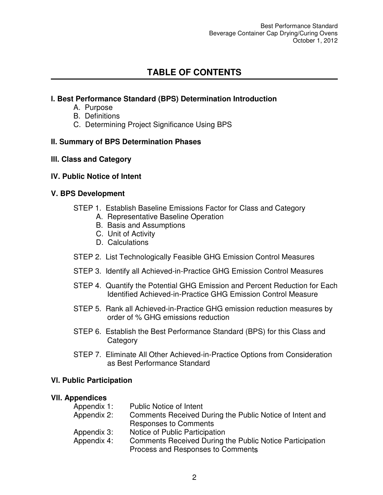## **TABLE OF CONTENTS**

#### **l. Best Performance Standard (BPS) Determination Introduction**

- A. Purpose
- B. Definitions
- C. Determining Project Significance Using BPS

#### **II. Summary of BPS Determination Phases**

#### **lll. Class and Category**

#### **lV. Public Notice of Intent**

#### **V. BPS Development**

- STEP 1. Establish Baseline Emissions Factor for Class and Category
	- A. Representative Baseline Operation
	- B. Basis and Assumptions
	- C. Unit of Activity
	- D. Calculations
- STEP 2. List Technologically Feasible GHG Emission Control Measures
- STEP 3. Identify all Achieved-in-Practice GHG Emission Control Measures
- STEP 4. Quantify the Potential GHG Emission and Percent Reduction for Each Identified Achieved-in-Practice GHG Emission Control Measure
- STEP 5. Rank all Achieved-in-Practice GHG emission reduction measures by order of % GHG emissions reduction
- STEP 6. Establish the Best Performance Standard (BPS) for this Class and **Category**
- STEP 7. Eliminate All Other Achieved-in-Practice Options from Consideration as Best Performance Standard

#### **Vl. Public Participation**

#### **Vll. Appendices**

| Appendix 1: | <b>Public Notice of Intent</b>                           |
|-------------|----------------------------------------------------------|
| Appendix 2: | Comments Received During the Public Notice of Intent and |
|             | <b>Responses to Comments</b>                             |
| Appendix 3: | Notice of Public Participation                           |
| Appendix 4: | Comments Received During the Public Notice Participation |
|             | Process and Responses to Comments                        |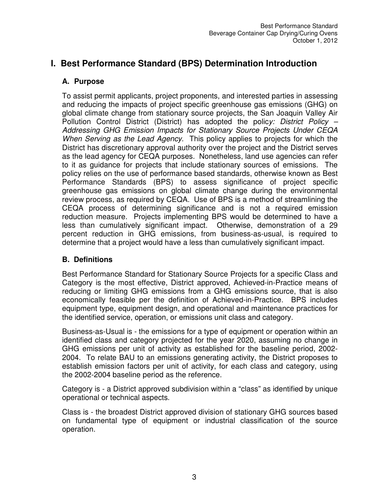## **I. Best Performance Standard (BPS) Determination Introduction**

#### **A. Purpose**

To assist permit applicants, project proponents, and interested parties in assessing and reducing the impacts of project specific greenhouse gas emissions (GHG) on global climate change from stationary source projects, the San Joaquin Valley Air Pollution Control District (District) has adopted the polic*y: District Policy – Addressing GHG Emission Impacts for Stationary Source Projects Under CEQA When Serving as the Lead Agency.* This policy applies to projects for which the District has discretionary approval authority over the project and the District serves as the lead agency for CEQA purposes. Nonetheless, land use agencies can refer to it as guidance for projects that include stationary sources of emissions. The policy relies on the use of performance based standards, otherwise known as Best Performance Standards (BPS) to assess significance of project specific greenhouse gas emissions on global climate change during the environmental review process, as required by CEQA. Use of BPS is a method of streamlining the CEQA process of determining significance and is not a required emission reduction measure. Projects implementing BPS would be determined to have a less than cumulatively significant impact. Otherwise, demonstration of a 29 percent reduction in GHG emissions, from business-as-usual, is required to determine that a project would have a less than cumulatively significant impact.

#### **B. Definitions**

Best Performance Standard for Stationary Source Projects for a specific Class and Category is the most effective, District approved, Achieved-in-Practice means of reducing or limiting GHG emissions from a GHG emissions source, that is also economically feasible per the definition of Achieved-in-Practice. BPS includes equipment type, equipment design, and operational and maintenance practices for the identified service, operation, or emissions unit class and category.

Business-as-Usual is - the emissions for a type of equipment or operation within an identified class and category projected for the year 2020, assuming no change in GHG emissions per unit of activity as established for the baseline period, 2002- 2004. To relate BAU to an emissions generating activity, the District proposes to establish emission factors per unit of activity, for each class and category, using the 2002-2004 baseline period as the reference.

Category is - a District approved subdivision within a "class" as identified by unique operational or technical aspects.

Class is - the broadest District approved division of stationary GHG sources based on fundamental type of equipment or industrial classification of the source operation.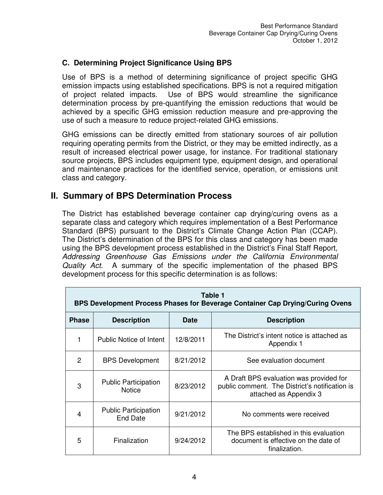#### **C. Determining Project Significance Using BPS**

Use of BPS is a method of determining significance of project specific GHG emission impacts using established specifications. BPS is not a required mitigation of project related impacts. Use of BPS would streamline the significance determination process by pre-quantifying the emission reductions that would be achieved by a specific GHG emission reduction measure and pre-approving the use of such a measure to reduce project-related GHG emissions.

GHG emissions can be directly emitted from stationary sources of air pollution requiring operating permits from the District, or they may be emitted indirectly, as a result of increased electrical power usage, for instance. For traditional stationary source projects, BPS includes equipment type, equipment design, and operational and maintenance practices for the identified service, operation, or emissions unit class and category.

### **II. Summary of BPS Determination Process**

The District has established beverage container cap drying/curing ovens as a separate class and category which requires implementation of a Best Performance Standard (BPS) pursuant to the District's Climate Change Action Plan (CCAP). The District's determination of the BPS for this class and category has been made using the BPS development process established in the District's Final Staff Report, *Addressing Greenhouse Gas Emissions under the California Environmental Quality Act.* A summary of the specific implementation of the phased BPS development process for this specific determination is as follows:

| Table 1<br>BPS Development Process Phases for Beverage Container Cap Drying/Curing Ovens |                                              |             |                                                                                                                     |
|------------------------------------------------------------------------------------------|----------------------------------------------|-------------|---------------------------------------------------------------------------------------------------------------------|
| <b>Phase</b>                                                                             | <b>Description</b>                           | <b>Date</b> | <b>Description</b>                                                                                                  |
| 1                                                                                        | Public Notice of Intent                      | 12/8/2011   | The District's intent notice is attached as<br>Appendix 1                                                           |
| 2                                                                                        | <b>BPS Development</b>                       | 8/21/2012   | See evaluation document                                                                                             |
| 3                                                                                        | <b>Public Participation</b><br><b>Notice</b> | 8/23/2012   | A Draft BPS evaluation was provided for<br>public comment. The District's notification is<br>attached as Appendix 3 |
| 4                                                                                        | <b>Public Participation</b><br>End Date      | 9/21/2012   | No comments were received                                                                                           |
| 5                                                                                        | Finalization                                 | 9/24/2012   | The BPS established in this evaluation<br>document is effective on the date of<br>finalization.                     |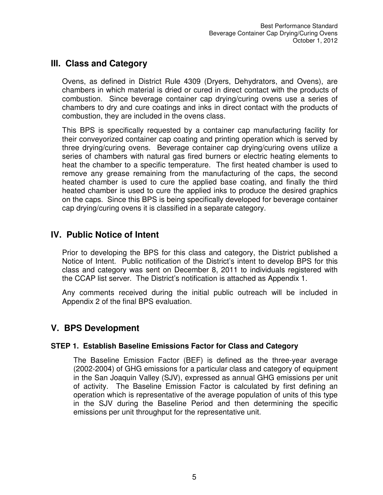## **III. Class and Category**

Ovens, as defined in District Rule 4309 (Dryers, Dehydrators, and Ovens), are chambers in which material is dried or cured in direct contact with the products of combustion. Since beverage container cap drying/curing ovens use a series of chambers to dry and cure coatings and inks in direct contact with the products of combustion, they are included in the ovens class.

This BPS is specifically requested by a container cap manufacturing facility for their conveyorized container cap coating and printing operation which is served by three drying/curing ovens. Beverage container cap drying/curing ovens utilize a series of chambers with natural gas fired burners or electric heating elements to heat the chamber to a specific temperature. The first heated chamber is used to remove any grease remaining from the manufacturing of the caps, the second heated chamber is used to cure the applied base coating, and finally the third heated chamber is used to cure the applied inks to produce the desired graphics on the caps. Since this BPS is being specifically developed for beverage container cap drying/curing ovens it is classified in a separate category.

## **IV. Public Notice of Intent**

Prior to developing the BPS for this class and category, the District published a Notice of Intent. Public notification of the District's intent to develop BPS for this class and category was sent on December 8, 2011 to individuals registered with the CCAP list server. The District's notification is attached as Appendix 1.

Any comments received during the initial public outreach will be included in Appendix 2 of the final BPS evaluation.

## **V. BPS Development**

#### **STEP 1. Establish Baseline Emissions Factor for Class and Category**

The Baseline Emission Factor (BEF) is defined as the three-year average (2002-2004) of GHG emissions for a particular class and category of equipment in the San Joaquin Valley (SJV), expressed as annual GHG emissions per unit of activity. The Baseline Emission Factor is calculated by first defining an operation which is representative of the average population of units of this type in the SJV during the Baseline Period and then determining the specific emissions per unit throughput for the representative unit.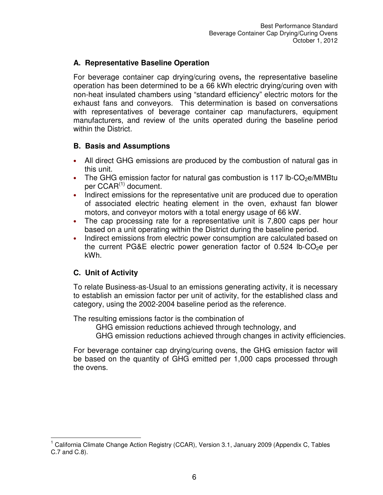#### **A. Representative Baseline Operation**

For beverage container cap drying/curing ovens**,** the representative baseline operation has been determined to be a 66 kWh electric drying/curing oven with non-heat insulated chambers using "standard efficiency" electric motors for the exhaust fans and conveyors. This determination is based on conversations with representatives of beverage container cap manufacturers, equipment manufacturers, and review of the units operated during the baseline period within the District.

#### **B. Basis and Assumptions**

- All direct GHG emissions are produced by the combustion of natural gas in this unit.
- The GHG emission factor for natural gas combustion is 117 lb-CO<sub>2</sub>e/MMBtu per  $CCAR^{(1)}$  document.
- Indirect emissions for the representative unit are produced due to operation of associated electric heating element in the oven, exhaust fan blower motors, and conveyor motors with a total energy usage of 66 kW.
- The cap processing rate for a representative unit is 7,800 caps per hour based on a unit operating within the District during the baseline period.
- Indirect emissions from electric power consumption are calculated based on the current PG&E electric power generation factor of 0.524 lb-CO<sub>2</sub>e per kWh.

#### **C. Unit of Activity**

To relate Business-as-Usual to an emissions generating activity, it is necessary to establish an emission factor per unit of activity, for the established class and category, using the 2002-2004 baseline period as the reference.

The resulting emissions factor is the combination of

GHG emission reductions achieved through technology, and GHG emission reductions achieved through changes in activity efficiencies.

For beverage container cap drying/curing ovens, the GHG emission factor will be based on the quantity of GHG emitted per 1,000 caps processed through the ovens.

 $\overline{a}$ <sup>1</sup> California Climate Change Action Registry (CCAR), Version 3.1, January 2009 (Appendix C, Tables C.7 and C.8).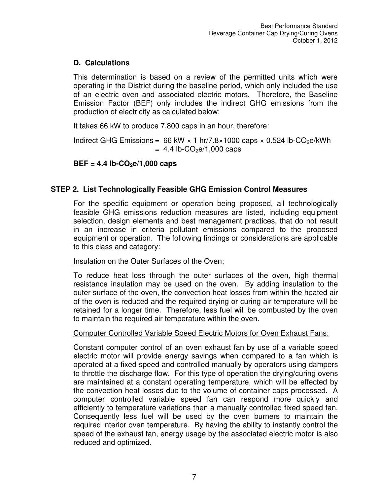#### **D. Calculations**

This determination is based on a review of the permitted units which were operating in the District during the baseline period, which only included the use of an electric oven and associated electric motors. Therefore, the Baseline Emission Factor (BEF) only includes the indirect GHG emissions from the production of electricity as calculated below:

It takes 66 kW to produce 7,800 caps in an hour, therefore:

Indirect GHG Emissions =  $66$  kW  $\times$  1 hr/7.8 $\times$ 1000 caps  $\times$  0.524 lb-CO<sub>2</sub>e/kWh  $= 4.4$  lb-CO<sub>2</sub>e/1,000 caps

### $BEF = 4.4 lb-CO<sub>2</sub>e/1,000 caps$

### **STEP 2. List Technologically Feasible GHG Emission Control Measures**

For the specific equipment or operation being proposed, all technologically feasible GHG emissions reduction measures are listed, including equipment selection, design elements and best management practices, that do not result in an increase in criteria pollutant emissions compared to the proposed equipment or operation. The following findings or considerations are applicable to this class and category:

#### Insulation on the Outer Surfaces of the Oven:

To reduce heat loss through the outer surfaces of the oven, high thermal resistance insulation may be used on the oven. By adding insulation to the outer surface of the oven, the convection heat losses from within the heated air of the oven is reduced and the required drying or curing air temperature will be retained for a longer time. Therefore, less fuel will be combusted by the oven to maintain the required air temperature within the oven.

#### Computer Controlled Variable Speed Electric Motors for Oven Exhaust Fans:

Constant computer control of an oven exhaust fan by use of a variable speed electric motor will provide energy savings when compared to a fan which is operated at a fixed speed and controlled manually by operators using dampers to throttle the discharge flow. For this type of operation the drying/curing ovens are maintained at a constant operating temperature, which will be effected by the convection heat losses due to the volume of container caps processed. A computer controlled variable speed fan can respond more quickly and efficiently to temperature variations then a manually controlled fixed speed fan. Consequently less fuel will be used by the oven burners to maintain the required interior oven temperature. By having the ability to instantly control the speed of the exhaust fan, energy usage by the associated electric motor is also reduced and optimized.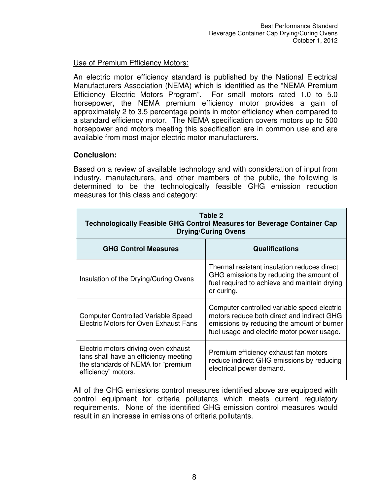#### Use of Premium Efficiency Motors:

An electric motor efficiency standard is published by the National Electrical Manufacturers Association (NEMA) which is identified as the "NEMA Premium Efficiency Electric Motors Program". For small motors rated 1.0 to 5.0 horsepower, the NEMA premium efficiency motor provides a gain of approximately 2 to 3.5 percentage points in motor efficiency when compared to a standard efficiency motor. The NEMA specification covers motors up to 500 horsepower and motors meeting this specification are in common use and are available from most major electric motor manufacturers.

#### **Conclusion:**

Based on a review of available technology and with consideration of input from industry, manufacturers, and other members of the public, the following is determined to be the technologically feasible GHG emission reduction measures for this class and category:

| Table 2<br><b>Technologically Feasible GHG Control Measures for Beverage Container Cap</b><br><b>Drying/Curing Ovens</b>                    |                                                                                                                                                                                       |  |
|---------------------------------------------------------------------------------------------------------------------------------------------|---------------------------------------------------------------------------------------------------------------------------------------------------------------------------------------|--|
| <b>GHG Control Measures</b>                                                                                                                 | <b>Qualifications</b>                                                                                                                                                                 |  |
| Insulation of the Drying/Curing Ovens                                                                                                       | Thermal resistant insulation reduces direct<br>GHG emissions by reducing the amount of<br>fuel required to achieve and maintain drying<br>or curing.                                  |  |
| <b>Computer Controlled Variable Speed</b><br><b>Electric Motors for Oven Exhaust Fans</b>                                                   | Computer controlled variable speed electric<br>motors reduce both direct and indirect GHG<br>emissions by reducing the amount of burner<br>fuel usage and electric motor power usage. |  |
| Electric motors driving oven exhaust<br>fans shall have an efficiency meeting<br>the standards of NEMA for "premium"<br>efficiency" motors. | Premium efficiency exhaust fan motors<br>reduce indirect GHG emissions by reducing<br>electrical power demand.                                                                        |  |

All of the GHG emissions control measures identified above are equipped with control equipment for criteria pollutants which meets current regulatory requirements. None of the identified GHG emission control measures would result in an increase in emissions of criteria pollutants.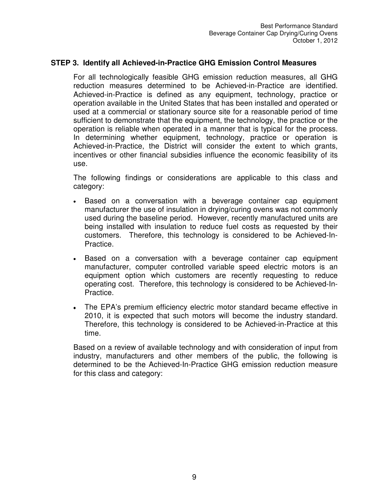#### **STEP 3. Identify all Achieved-in-Practice GHG Emission Control Measures**

For all technologically feasible GHG emission reduction measures, all GHG reduction measures determined to be Achieved-in-Practice are identified. Achieved-in-Practice is defined as any equipment, technology, practice or operation available in the United States that has been installed and operated or used at a commercial or stationary source site for a reasonable period of time sufficient to demonstrate that the equipment, the technology, the practice or the operation is reliable when operated in a manner that is typical for the process. In determining whether equipment, technology, practice or operation is Achieved-in-Practice, the District will consider the extent to which grants, incentives or other financial subsidies influence the economic feasibility of its use.

The following findings or considerations are applicable to this class and category:

- Based on a conversation with a beverage container cap equipment manufacturer the use of insulation in drying/curing ovens was not commonly used during the baseline period. However, recently manufactured units are being installed with insulation to reduce fuel costs as requested by their customers. Therefore, this technology is considered to be Achieved-In-Practice.
- Based on a conversation with a beverage container cap equipment manufacturer, computer controlled variable speed electric motors is an equipment option which customers are recently requesting to reduce operating cost. Therefore, this technology is considered to be Achieved-In-Practice.
- The EPA's premium efficiency electric motor standard became effective in 2010, it is expected that such motors will become the industry standard. Therefore, this technology is considered to be Achieved-in-Practice at this time.

Based on a review of available technology and with consideration of input from industry, manufacturers and other members of the public, the following is determined to be the Achieved-In-Practice GHG emission reduction measure for this class and category: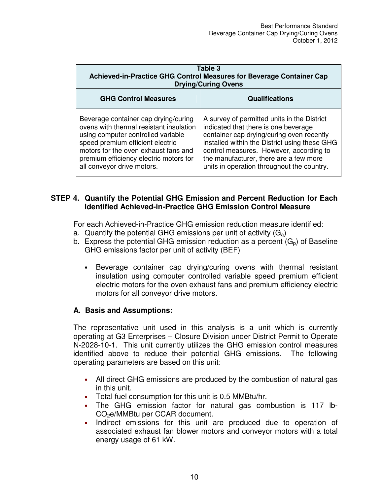| Table 3<br>Achieved-in-Practice GHG Control Measures for Beverage Container Cap<br><b>Drying/Curing Ovens</b>                                                                                                                                                             |                                                                                                                                                                                                                                                                                                                      |  |
|---------------------------------------------------------------------------------------------------------------------------------------------------------------------------------------------------------------------------------------------------------------------------|----------------------------------------------------------------------------------------------------------------------------------------------------------------------------------------------------------------------------------------------------------------------------------------------------------------------|--|
| <b>GHG Control Measures</b>                                                                                                                                                                                                                                               | <b>Qualifications</b>                                                                                                                                                                                                                                                                                                |  |
| Beverage container cap drying/curing<br>ovens with thermal resistant insulation<br>using computer controlled variable<br>speed premium efficient electric<br>motors for the oven exhaust fans and<br>premium efficiency electric motors for<br>all conveyor drive motors. | A survey of permitted units in the District<br>indicated that there is one beverage<br>container cap drying/curing oven recently<br>installed within the District using these GHG<br>control measures. However, according to<br>the manufacturer, there are a few more<br>units in operation throughout the country. |  |

#### **STEP 4. Quantify the Potential GHG Emission and Percent Reduction for Each Identified Achieved-in-Practice GHG Emission Control Measure**

For each Achieved-in-Practice GHG emission reduction measure identified:

- a. Quantify the potential GHG emissions per unit of activity  $(G_a)$
- b. Express the potential GHG emission reduction as a percent  $(G_p)$  of Baseline GHG emissions factor per unit of activity (BEF)
	- Beverage container cap drying/curing ovens with thermal resistant insulation using computer controlled variable speed premium efficient electric motors for the oven exhaust fans and premium efficiency electric motors for all conveyor drive motors.

#### **A. Basis and Assumptions:**

The representative unit used in this analysis is a unit which is currently operating at G3 Enterprises – Closure Division under District Permit to Operate N-2028-10-1. This unit currently utilizes the GHG emission control measures identified above to reduce their potential GHG emissions. The following operating parameters are based on this unit:

- All direct GHG emissions are produced by the combustion of natural gas in this unit.
- Total fuel consumption for this unit is 0.5 MMBtu/hr.
- The GHG emission factor for natural gas combustion is 117 lb-CO2e/MMBtu per CCAR document.
- Indirect emissions for this unit are produced due to operation of associated exhaust fan blower motors and conveyor motors with a total energy usage of 61 kW.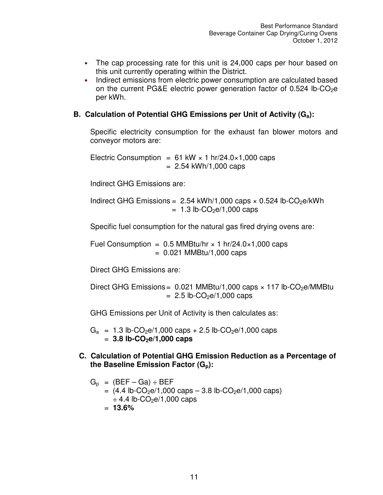- The cap processing rate for this unit is 24,000 caps per hour based on this unit currently operating within the District.
- Indirect emissions from electric power consumption are calculated based on the current PG&E electric power generation factor of 0.524 lb-CO<sub>2</sub>e per kWh.

#### **B. Calculation of Potential GHG Emissions per Unit of Activity (Ga):**

Specific electricity consumption for the exhaust fan blower motors and conveyor motors are:

Electric Consumption =  $61$  kW  $\times$  1 hr/24.0 $\times$ 1,000 caps  $= 2.54$  kWh/1,000 caps

Indirect GHG Emissions are:

Indirect GHG Emissions =  $2.54 \text{ kWh}/1,000 \text{ caps} \times 0.524 \text{ lb-CO}_2 \text{e/kWh}$  $= 1.3$  lb-CO<sub>2</sub>e/1,000 caps

Specific fuel consumption for the natural gas fired drying ovens are:

Fuel Consumption =  $0.5$  MMBtu/hr  $\times$  1 hr/24.0 $\times$ 1,000 caps  $= 0.021$  MMBtu/1,000 caps

Direct GHG Emissions are:

Direct GHG Emissions =  $0.021$  MMBtu/1,000 caps  $\times$  117 lb-CO<sub>2</sub>e/MMBtu  $= 2.5$  lb-CO<sub>2</sub>e/1,000 caps

GHG Emissions per Unit of Activity is then calculates as:

 $G_a$  = 1.3 lb-CO<sub>2</sub>e/1,000 caps + 2.5 lb-CO<sub>2</sub>e/1,000 caps = **3.8 lb-CO2e/1,000 caps**

**C. Calculation of Potential GHG Emission Reduction as a Percentage of the Baseline Emission Factor (Gp):** 

$$
G_p = (BEF - Ga) ÷ BEF
$$
  
= (4.4 lb-CO<sub>2</sub>e/1,000 caps - 3.8 lb-CO<sub>2</sub>e/1,000 caps)  

$$
\div 4.4 \text{ lb-CO2e/1,000 caps}
$$
  
= 13.6%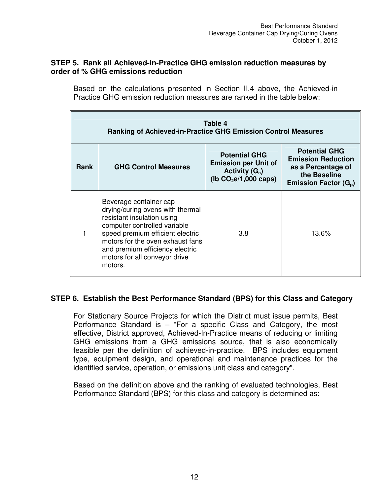#### **STEP 5. Rank all Achieved-in-Practice GHG emission reduction measures by order of % GHG emissions reduction**

Based on the calculations presented in Section II.4 above, the Achieved-in Practice GHG emission reduction measures are ranked in the table below:

| Table 4<br><b>Ranking of Achieved-in-Practice GHG Emission Control Measures</b> |                                                                                                                                                                                                                                                                                 |                                                                                                     |                                                                                                                              |
|---------------------------------------------------------------------------------|---------------------------------------------------------------------------------------------------------------------------------------------------------------------------------------------------------------------------------------------------------------------------------|-----------------------------------------------------------------------------------------------------|------------------------------------------------------------------------------------------------------------------------------|
| Rank                                                                            | <b>GHG Control Measures</b>                                                                                                                                                                                                                                                     | <b>Potential GHG</b><br><b>Emission per Unit of</b><br>Activity $(G_a)$<br>( $lb CO2e/1,000 caps$ ) | <b>Potential GHG</b><br><b>Emission Reduction</b><br>as a Percentage of<br>the Baseline<br>Emission Factor (G <sub>p</sub> ) |
|                                                                                 | Beverage container cap<br>drying/curing ovens with thermal<br>resistant insulation using<br>computer controlled variable<br>speed premium efficient electric<br>motors for the oven exhaust fans<br>and premium efficiency electric<br>motors for all conveyor drive<br>motors. | 3.8                                                                                                 | 13.6%                                                                                                                        |

#### **STEP 6. Establish the Best Performance Standard (BPS) for this Class and Category**

For Stationary Source Projects for which the District must issue permits, Best Performance Standard is – "For a specific Class and Category, the most effective, District approved, Achieved-In-Practice means of reducing or limiting GHG emissions from a GHG emissions source, that is also economically feasible per the definition of achieved-in-practice. BPS includes equipment type, equipment design, and operational and maintenance practices for the identified service, operation, or emissions unit class and category".

Based on the definition above and the ranking of evaluated technologies, Best Performance Standard (BPS) for this class and category is determined as: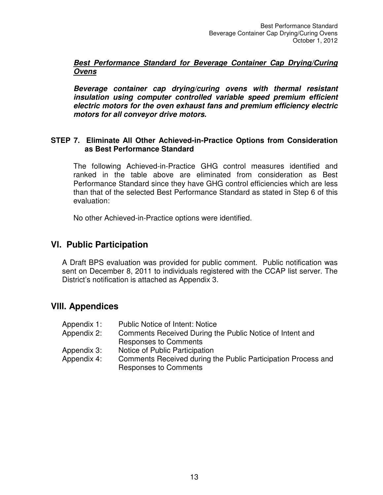#### **Best Performance Standard for Beverage Container Cap Drying/Curing Ovens**

**Beverage container cap drying/curing ovens with thermal resistant insulation using computer controlled variable speed premium efficient electric motors for the oven exhaust fans and premium efficiency electric motors for all conveyor drive motors.** 

#### **STEP 7. Eliminate All Other Achieved-in-Practice Options from Consideration as Best Performance Standard**

The following Achieved-in-Practice GHG control measures identified and ranked in the table above are eliminated from consideration as Best Performance Standard since they have GHG control efficiencies which are less than that of the selected Best Performance Standard as stated in Step 6 of this evaluation:

No other Achieved-in-Practice options were identified.

#### **Vl. Public Participation**

A Draft BPS evaluation was provided for public comment. Public notification was sent on December 8, 2011 to individuals registered with the CCAP list server. The District's notification is attached as Appendix 3.

#### **Vlll. Appendices**

| Appendix 1: | <b>Public Notice of Intent: Notice</b>                        |
|-------------|---------------------------------------------------------------|
| Appendix 2: | Comments Received During the Public Notice of Intent and      |
|             | <b>Responses to Comments</b>                                  |
| Appendix 3: | Notice of Public Participation                                |
| Appendix 4: | Comments Received during the Public Participation Process and |
|             | <b>Responses to Comments</b>                                  |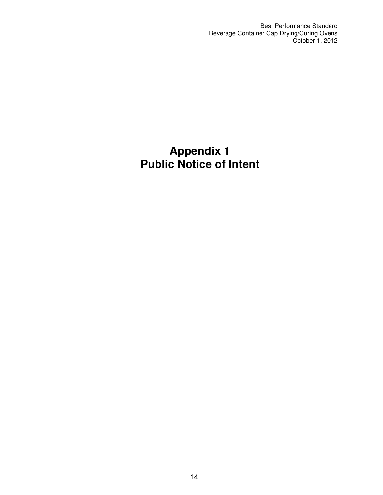Best Performance Standard Beverage Container Cap Drying/Curing Ovens October 1, 2012

## **Appendix 1 Public Notice of Intent**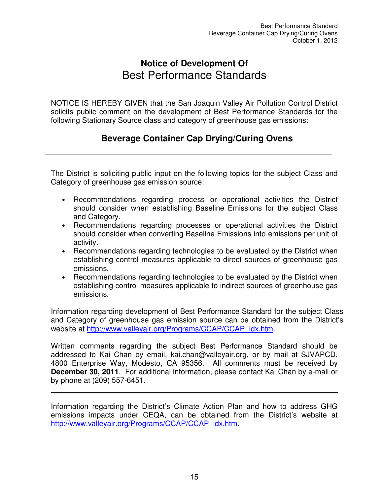## **Notice of Development Of**  Best Performance Standards

NOTICE IS HEREBY GIVEN that the San Joaquin Valley Air Pollution Control District solicits public comment on the development of Best Performance Standards for the following Stationary Source class and category of greenhouse gas emissions:

## **Beverage Container Cap Drying/Curing Ovens**

The District is soliciting public input on the following topics for the subject Class and Category of greenhouse gas emission source:

- Recommendations regarding process or operational activities the District should consider when establishing Baseline Emissions for the subject Class and Category.
- Recommendations regarding processes or operational activities the District should consider when converting Baseline Emissions into emissions per unit of activity.
- Recommendations regarding technologies to be evaluated by the District when establishing control measures applicable to direct sources of greenhouse gas emissions.
- Recommendations regarding technologies to be evaluated by the District when establishing control measures applicable to indirect sources of greenhouse gas emissions.

Information regarding development of Best Performance Standard for the subject Class and Category of greenhouse gas emission source can be obtained from the District's website at http://www.valleyair.org/Programs/CCAP/CCAP\_idx.htm.

Written comments regarding the subject Best Performance Standard should be addressed to Kai Chan by email, kai.chan@valleyair.org, or by mail at SJVAPCD, 4800 Enterprise Way, Modesto, CA 95356. All comments must be received by **December 30, 2011**. For additional information, please contact Kai Chan by e-mail or by phone at (209) 557-6451.

Information regarding the District's Climate Action Plan and how to address GHG emissions impacts under CEQA, can be obtained from the District's website at http://www.valleyair.org/Programs/CCAP/CCAP\_idx.htm.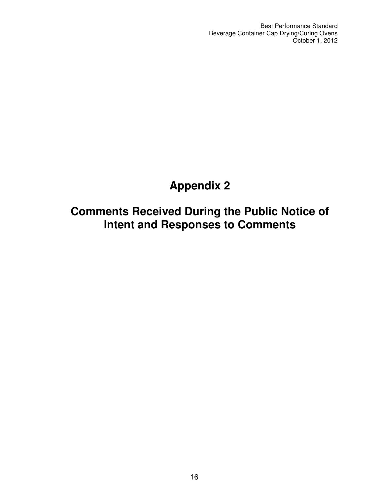# **Appendix 2**

# **Comments Received During the Public Notice of Intent and Responses to Comments**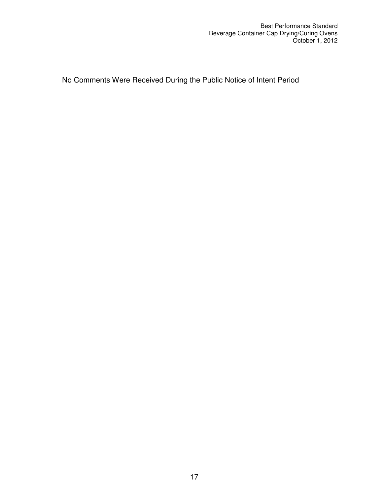No Comments Were Received During the Public Notice of Intent Period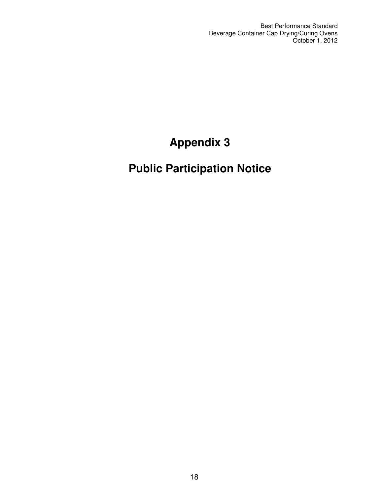Best Performance Standard Beverage Container Cap Drying/Curing Ovens October 1, 2012

# **Appendix 3**

# **Public Participation Notice**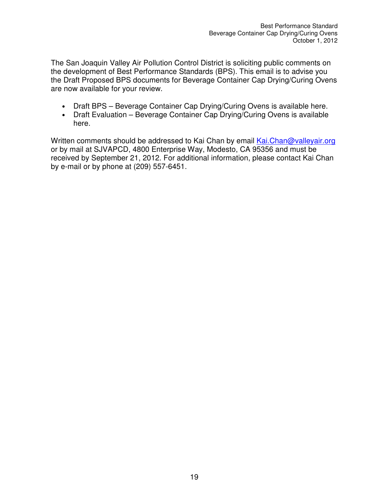The San Joaquin Valley Air Pollution Control District is soliciting public comments on the development of Best Performance Standards (BPS). This email is to advise you the Draft Proposed BPS documents for Beverage Container Cap Drying/Curing Ovens are now available for your review.

- Draft BPS Beverage Container Cap Drying/Curing Ovens is available here.
- Draft Evaluation Beverage Container Cap Drying/Curing Ovens is available here.

Written comments should be addressed to Kai Chan by email Kai.Chan@valleyair.org or by mail at SJVAPCD, 4800 Enterprise Way, Modesto, CA 95356 and must be received by September 21, 2012. For additional information, please contact Kai Chan by e-mail or by phone at (209) 557-6451.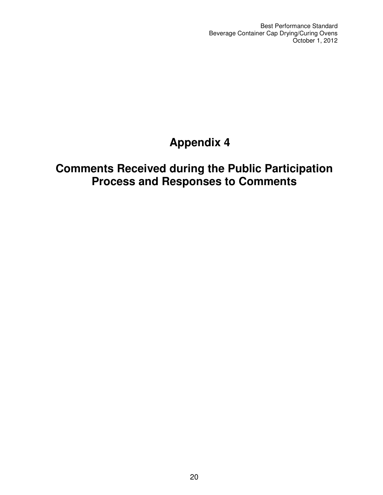Best Performance Standard Beverage Container Cap Drying/Curing Ovens October 1, 2012

# **Appendix 4**

# **Comments Received during the Public Participation Process and Responses to Comments**